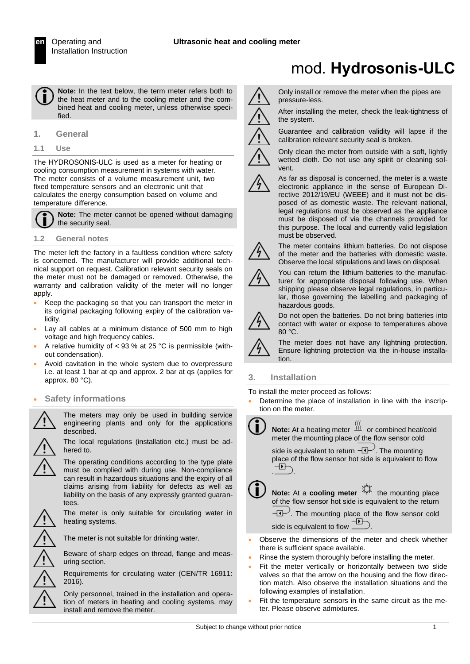**Note:** In the text below, the term meter refers both to the heat meter and to the cooling meter and the combined heat and cooling meter, unless otherwise specified.

**1. General**

**1.1 Use**

The HYDROSONIS-ULC is used as a meter for heating or cooling consumption measurement in systems with water. The meter consists of a volume measurement unit, two fixed temperature sensors and an electronic unit that calculates the energy consumption based on volume and temperature difference.

**Note:** The meter cannot be opened without damaging the security seal.

#### **1.2 General notes**

The meter left the factory in a faultless condition where safety is concerned. The manufacturer will provide additional technical support on request. Calibration relevant security seals on the meter must not be damaged or removed. Otherwise, the warranty and calibration validity of the meter will no longer apply.

- Keep the packaging so that you can transport the meter in its original packaging following expiry of the calibration validity.
- Lay all cables at a minimum distance of 500 mm to high voltage and high frequency cables.
- A relative humidity of < 93 % at 25 °C is permissible (without condensation).
- Avoid cavitation in the whole system due to overpressure i.e. at least 1 bar at qp and approx. 2 bar at qs (applies for approx. 80 °C).
- **Safety informations**

The meters may only be used in building service engineering plants and only for the applications described.



The local regulations (installation etc.) must be adhered to.

The operating conditions according to the type plate must be complied with during use. Non-compliance can result in hazardous situations and the expiry of all claims arising from liability for defects as well as liability on the basis of any expressly granted guarantees.

The meter is only suitable for circulating water in heating systems.

The meter is not suitable for drinking water.

Beware of sharp edges on thread, flange and measuring section.

Requirements for circulating water (CEN/TR 16911: 2016).

Only personnel, trained in the installation and operation of meters in heating and cooling systems, may install and remove the meter.

# mod. **Hydrosonis-ULC**

Only install or remove the meter when the pipes are pressure-less.

After installing the meter, check the leak-tightness of the system.

calibration relevant security seal is broken.



Only clean the meter from outside with a soft, lightly wetted cloth. Do not use any spirit or cleaning solvent.

Guarantee and calibration validity will lapse if the



As far as disposal is concerned, the meter is a waste electronic appliance in the sense of European Directive 2012/19/EU (WEEE) and it must not be disposed of as domestic waste. The relevant national, legal regulations must be observed as the appliance must be disposed of via the channels provided for this purpose. The local and currently valid legislation must be observed.



The meter contains lithium batteries. Do not dispose of the meter and the batteries with domestic waste. Observe the local stipulations and laws on disposal.

You can return the lithium batteries to the manufacturer for appropriate disposal following use. When shipping please observe legal regulations, in particular, those governing the labelling and packaging of hazardous goods.



Do not open the batteries. Do not bring batteries into contact with water or expose to temperatures above 80 °C.

The meter does not have any lightning protection. Ensure lightning protection via the in-house installation.

# **3. Installation**

To install the meter proceed as follows:

 Determine the place of installation in line with the inscription on the meter.



- Observe the dimensions of the meter and check whether there is sufficient space available.
- Rinse the system thoroughly before installing the meter.
- Fit the meter vertically or horizontally between two slide valves so that the arrow on the housing and the flow direction match. Also observe the installation situations and the following examples of installation.
- Fit the temperature sensors in the same circuit as the meter. Please observe admixtures.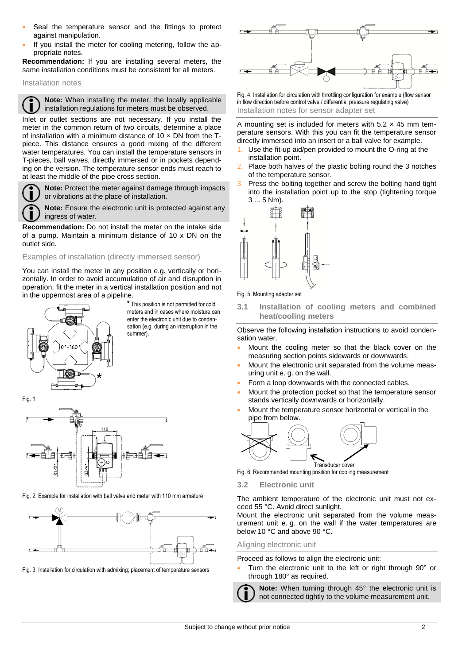- Seal the temperature sensor and the fittings to protect against manipulation.
- If you install the meter for cooling metering, follow the appropriate notes.

**Recommendation:** If you are installing several meters, the same installation conditions must be consistent for all meters.

Installation notes

**Note:** When installing the meter, the locally applicable п installation regulations for meters must be observed.

Inlet or outlet sections are not necessary. If you install the meter in the common return of two circuits, determine a place of installation with a minimum distance of 10  $\times$  DN from the Tpiece. This distance ensures a good mixing of the different water temperatures. You can install the temperature sensors in T-pieces, ball valves, directly immersed or in pockets depending on the version. The temperature sensor ends must reach to at least the middle of the pipe cross section.



**Note:** Protect the meter against damage through impacts or vibrations at the place of installation.

**Note:** Ensure the electronic unit is protected against any ingress of water.

**Recommendation:** Do not install the meter on the intake side of a pump. Maintain a minimum distance of 10 x DN on the outlet side.

Examples of installation (directly immersed sensor)

You can install the meter in any position e.g. vertically or horizontally. In order to avoid accumulation of air and disruption in operation, fit the meter in a vertical installation position and not in the uppermost area of a pipeline.



**\*** This position is not permitted for cold meters and in cases where moisture can enter the electronic unit due to condensation (e.g. during an interruption in the summer).



Fig. 2: Example for installation with ball valve and meter with 110 mm armature



Fig. 3: Installation for circulation with admixing; placement of temperature sensors



Fig. 4: Installation for circulation with throttling configuration for example (flow sensor in flow direction before control valve / differential pressure regulating valve) Installation notes for sensor adapter set

A mounting set is included for meters with  $5.2 \times 45$  mm temperature sensors. With this you can fit the temperature sensor directly immersed into an insert or a ball valve for example.

- Use the fit-up aid/pen provided to mount the O-ring at the installation point.
- Place both halves of the plastic bolting round the 3 notches of the temperature sensor.
- Press the bolting together and screw the bolting hand tight into the installation point up to the stop (tightening torque 3 ... 5 Nm).



Fig. 5: Mounting adapter set

**3.1 Installation of cooling meters and combined heat/cooling meters** 

Observe the following installation instructions to avoid condensation water.

- Mount the cooling meter so that the black cover on the measuring section points sidewards or downwards.
- Mount the electronic unit separated from the volume measuring unit e. g. on the wall.
- Form a loop downwards with the connected cables.
- Mount the protection pocket so that the temperature sensor stands vertically downwards or horizontally.
- Mount the temperature sensor horizontal or vertical in the pipe from below.



Fig. 6: Recommended mounting position for cooling measurement

#### **3.2 Electronic unit**

The ambient temperature of the electronic unit must not exceed 55 °C. Avoid direct sunlight.

Mount the electronic unit separated from the volume measurement unit e. g. on the wall if the water temperatures are below 10 °C and above 90 °C.

#### Aligning electronic unit

Proceed as follows to align the electronic unit:

 Turn the electronic unit to the left or right through 90° or through 180° as required.

**Note:** When turning through 45° the electronic unit is not connected tightly to the volume measurement unit.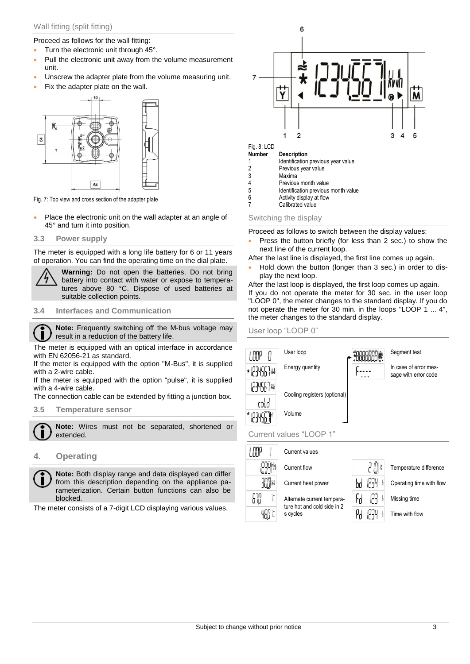# Wall fitting (split fitting)

Proceed as follows for the wall fitting:

- Turn the electronic unit through 45°.
- Pull the electronic unit away from the volume measurement unit.
- Unscrew the adapter plate from the volume measuring unit.
- Fix the adapter plate on the wall.



Fig. 7: Top view and cross section of the adapter plate

• Place the electronic unit on the wall adapter at an angle of 45° and turn it into position.

#### **3.3 Power supply**

The meter is equipped with a long life battery for 6 or 11 years of operation. You can find the operating time on the dial plate.

> **Warning:** Do not open the batteries. Do not bring battery into contact with water or expose to temperatures above 80 °C. Dispose of used batteries at suitable collection points.

#### **3.4 Interfaces and Communication**

**Note:** Frequently switching off the M-bus voltage may  $\blacksquare$ result in a reduction of the battery life.

The meter is equipped with an optical interface in accordance with EN 62056-21 as standard.

If the meter is equipped with the option "M-Bus", it is supplied with a 2-wire cable.

If the meter is equipped with the option "pulse", it is supplied with a 4-wire cable.

The connection cable can be extended by fitting a junction box.

# **3.5 Temperature sensor**

**Note:** Wires must not be separated, shortened or extended.

# **4. Operating**

**Note:** Both display range and data displayed can differ from this description depending on the appliance parameterization. Certain button functions can also be blocked.

The meter consists of a 7-digit LCD displaying various values.



- 4 Previous month value<br>5 **Identification previous**
- 5 Identification previous month value<br>6 Activity display at flow Activity display at flow
- 7 Calibrated value

#### Switching the display

Proceed as follows to switch between the display values:

 Press the button briefly (for less than 2 sec.) to show the next line of the current loop.

After the last line is displayed, the first line comes up again.

 Hold down the button (longer than 3 sec.) in order to display the next loop.

After the last loop is displayed, the first loop comes up again. If you do not operate the meter for 30 sec. in the user loop "LOOP 0", the meter changes to the standard display. If you do not operate the meter for 30 min. in the loops "LOOP 1 ... 4", the meter changes to the standard display.

User loop "LOOP 0"

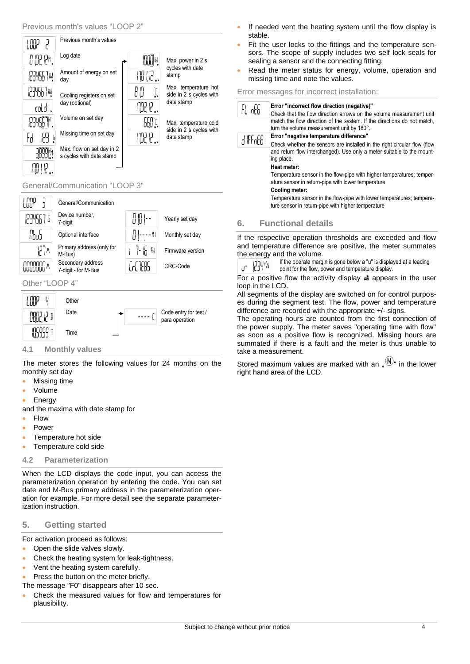

# General/Communication "LOOP 3"



# Other "LOOP 4"



# **4.1 Monthly values**

The meter stores the following values for 24 months on the monthly set day

- Missing time
- Volume
- Energy

and the maxima with date stamp for

- Flow
- Power
- Temperature hot side
- Temperature cold side

# **4.2 Parameterization**

When the LCD displays the code input, you can access the parameterization operation by entering the code. You can set date and M-Bus primary address in the parameterization operation for example. For more detail see the separate parameterization instruction.

# **5. Getting started**

For activation proceed as follows:

- Open the slide valves slowly.
- Check the heating system for leak-tightness.
- Vent the heating system carefully.
- Press the button on the meter briefly.

The message "F0" disappears after 10 sec.

 Check the measured values for flow and temperatures for plausibility.

- If needed vent the heating system until the flow display is stable.
- Fit the user locks to the fittings and the temperature sensors. The scope of supply includes two self lock seals for sealing a sensor and the connecting fitting.
- Read the meter status for energy, volume, operation and missing time and note the values.

### Error messages for incorrect installation:

| FL offi | Error "incorrect flow direction (negative)"<br>Check that the flow direction arrows on the volume measurement unit<br>match the flow direction of the system. If the directions do not match, |  |
|---------|-----------------------------------------------------------------------------------------------------------------------------------------------------------------------------------------------|--|
|         | turn the volume measurement unit by 180°.                                                                                                                                                     |  |
| 9 ÆFnE6 | Error "negative temperature difference"                                                                                                                                                       |  |
|         | Check whether the sensors are installed in the right circular flow (flow<br>and return flow interchanged). Use only a meter suitable to the mount-<br>ing place.<br>Heat meter:               |  |
|         | Temperature sensor in the flow-pipe with higher temperatures; temper-<br>ature sensor in return-pipe with lower temperature<br>Cooling meter:                                                 |  |
|         | Temperature sensor in the flow-pipe with lower temperatures; tempera-<br>ture sensor in return-pipe with higher temperature                                                                   |  |

# **6. Functional details**

If the respective operation thresholds are exceeded and flow and temperature difference are positive, the meter summates the energy and the volume.

If the operate margin is gone below a "u" is displayed at a leading u- 1234% point for the flow, power and temperature display.

For a positive flow the activity display  $\triangleq$  appears in the user loop in the LCD.

All segments of the display are switched on for control purposes during the segment test. The flow, power and temperature difference are recorded with the appropriate +/- signs.

The operating hours are counted from the first connection of the power supply. The meter saves "operating time with flow" as soon as a positive flow is recognized. Missing hours are summated if there is a fault and the meter is thus unable to take a measurement.

Stored maximum values are marked with an  $\mathbb{M}^{\mathbb{N}}$  in the lower right hand area of the LCD.